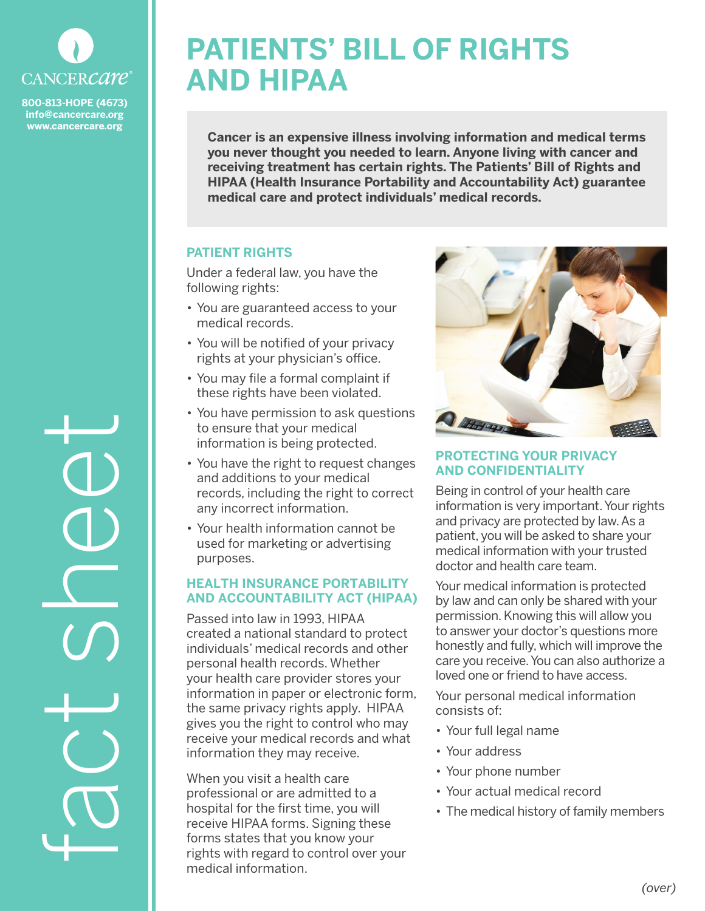

**800-813-HOPE (4673) info@cancercare.org www.cancercare.org**

fact sheet

# **PATIENTS' BILL OF RIGHTS AND HIPAA**

**Cancer is an expensive illness involving information and medical terms you never thought you needed to learn. Anyone living with cancer and receiving treatment has certain rights. The Patients' Bill of Rights and HIPAA (Health Insurance Portability and Accountability Act) guarantee medical care and protect individuals' medical records.**

# **PATIENT RIGHTS**

Under a federal law, you have the following rights:

- You are guaranteed access to your medical records.
- You will be notified of your privacy rights at your physician's office.
- You may file a formal complaint if these rights have been violated.
- You have permission to ask questions to ensure that your medical information is being protected.
- You have the right to request changes and additions to your medical records, including the right to correct any incorrect information.
- Your health information cannot be used for marketing or advertising purposes.

#### **HEALTH INSURANCE PORTABILITY AND ACCOUNTABILITY ACT (HIPAA)**

Passed into law in 1993, HIPAA created a national standard to protect individuals' medical records and other personal health records. Whether your health care provider stores your information in paper or electronic form, the same privacy rights apply. HIPAA gives you the right to control who may receive your medical records and what information they may receive.

When you visit a health care professional or are admitted to a hospital for the first time, you will receive HIPAA forms. Signing these forms states that you know your rights with regard to control over your medical information.



# **PROTECTING YOUR PRIVACY AND CONFIDENTIALITY**

Being in control of your health care information is very important. Your rights and privacy are protected by law. As a patient, you will be asked to share your medical information with your trusted doctor and health care team.

Your medical information is protected by law and can only be shared with your permission. Knowing this will allow you to answer your doctor's questions more honestly and fully, which will improve the care you receive. You can also authorize a loved one or friend to have access.

Your personal medical information consists of:

- Your full legal name
- Your address
- Your phone number
- Your actual medical record
- The medical history of family members